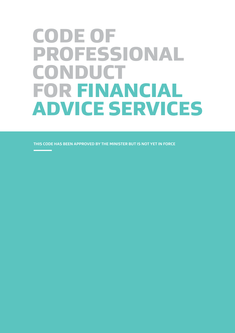# CODE OF PROFESSIONAL CONDUCT FOR FINANCIAL ADVICE SERVICES

**THIS CODE HAS BEEN APPROVED BY THE MINISTER BUT IS NOT YET IN FORCE**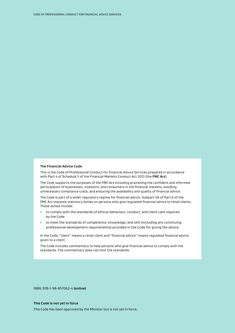#### **The Financial Advice Code**

This is the Code of Professional Conduct for Financial Advice Services prepared in accordance with Part 4 of Schedule 5 of the Financial Markets Conduct Act 2013 (the **FMC Act**).

The Code supports the purposes of the FMC Act including promoting the confident and informed participation of businesses, investors, and consumers in the financial markets, avoiding unnecessary compliance costs, and ensuring the availability and quality of financial advice.

The Code is part of a wider regulatory regime for financial advice. Subpart 5A of Part 6 of the FMC Act imposes statutory duties on persons who give regulated financial advice to retail clients. Those duties include:

- › to comply with the standards of ethical behaviour, conduct, and client care required by the Code
- › to meet the standards of competence, knowledge, and skill (including any continuing professional development requirements) provided in the Code for giving the advice.

In the Code, "client" means a retail client and "financial advice" means regulated financial advice given to a client.

The Code includes commentary to help persons who give financial advice to comply with the standards. The commentary does not limit the standards.

ISBN: 978-1-98-857062-4 **(online)**

#### **This Code is not yet in force**

This Code has been approved by the Minister but is not yet in force.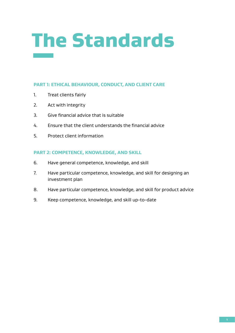# The Standards

# **PART 1: ETHICAL BEHAVIOUR, CONDUCT, AND CLIENT CARE**

- 1. Treat clients fairly
- 2. Act with integrity
- 3. Give financial advice that is suitable
- 4. Ensure that the client understands the financial advice
- 5. Protect client information

# **PART 2: COMPETENCE, KNOWLEDGE, AND SKILL**

- 6. Have general competence, knowledge, and skill
- 7. Have particular competence, knowledge, and skill for designing an investment plan
- 8. Have particular competence, knowledge, and skill for product advice
- 9. Keep competence, knowledge, and skill up-to-date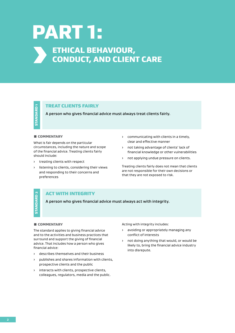# PART 1: ETHICAL BEHAVIOUR, CONDUCT, AND CLIENT CARE

# TREAT CLIENTS FAIRLY

A person who gives financial advice must always treat clients fairly.

#### **COMMENTARY**

What is fair depends on the particular circumstances, including the nature and scope of the financial advice. Treating clients fairly should include:

- › treating clients with respect
- › listening to clients, considering their views and responding to their concerns and preferences
- › communicating with clients in a timely, clear and effective manner
- › not taking advantage of clients' lack of financial knowledge or other vulnerabilities
- › not applying undue pressure on clients.

Treating clients fairly does not mean that clients are not responsible for their own decisions or that they are not exposed to risk.

# **STANDARD<sub>2</sub>** STANDARD 2

# ACT WITH INTEGRITY

A person who gives financial advice must always act with integrity.

## **E COMMENTARY**

The standard applies to giving financial advice and to the activities and business practices that surround and support the giving of financial advice. That includes how a person who gives financial advice:

- › describes themselves and their business
- › publishes and shares information with clients, prospective clients and the public
- › interacts with clients, prospective clients, colleagues, regulators, media and the public.

Acting with integrity includes:

- › avoiding or appropriately managing any conflict of interests
- not doing anything that would, or would be likely to, bring the financial advice industry into disrepute.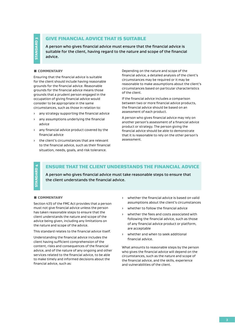**STANDARD3** STANDARD 3

# GIVE FINANCIAL ADVICE THAT IS SUITABLE

A person who gives financial advice must ensure that the financial advice is suitable for the client, having regard to the nature and scope of the financial advice.

### **COMMENTARY**

Ensuring that the financial advice is suitable for the client should include having reasonable grounds for the financial advice. Reasonable grounds for the financial advice means those grounds that a prudent person engaged in the occupation of giving financial advice would consider to be appropriate in the same circumstances, such as those in relation to:

- › any strategy supporting the financial advice
- › any assumptions underlying the financial advice
- any financial advice product covered by the financial advice
- › the client's circumstances that are relevant to the financial advice, such as their financial situation, needs, goals, and risk tolerance.

Depending on the nature and scope of the financial advice, a detailed analysis of the client's circumstances may be required or it may be reasonable to make assumptions about the client's circumstances based on particular characteristics of the client.

If the financial advice includes a comparison between two or more financial advice products, the financial advice should be based on an assessment of each product.

A person who gives financial advice may rely on another person's assessment of a financial advice product or strategy. The person giving the financial advice should be able to demonstrate that it is reasonable to rely on the other person's assessment.

STANDARD 4 **ANDARD** l.

# ENSURE THAT THE CLIENT UNDERSTANDS THE FINANCIAL ADVICE

A person who gives financial advice must take reasonable steps to ensure that the client understands the financial advice.

#### ƨ COMMENTARY

Section 431J of the FMC Act provides that a person must not give financial advice unless the person has taken reasonable steps to ensure that the client understands the nature and scope of the advice being given, including any limitations on the nature and scope of the advice.

This standard relates to the financial advice itself.

Understanding the financial advice includes the client having sufficient comprehension of the content, risks and consequences of the financial advice, and of the nature of any ongoing and other services related to the financial advice, to be able to make timely and informed decisions about the financial advice, such as:

- › whether the financial advice is based on valid assumptions about the client's circumstances
- › whether to follow the financial advice
- whether the fees and costs associated with following the financial advice, such as those of any financial advice product or platform, are acceptable
- whether and when to seek additional financial advice.

What amounts to reasonable steps by the person who gives the financial advice will depend on the circumstances, such as the nature and scope of the financial advice, and the skills, experience and vulnerabilities of the client.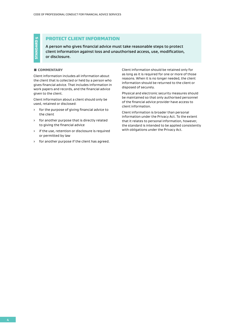# PROTECT CLIENT INFORMATION

A person who gives financial advice must take reasonable steps to protect client information against loss and unauthorised access, use, modification, or disclosure.

#### **E COMMENTARY**

STANDARD 5

**STANDARD 5** 

Client information includes all information about the client that is collected or held by a person who gives financial advice. That includes information in work papers and records, and the financial advice given to the client.

Client information about a client should only be used, retained or disclosed:

- › for the purpose of giving financial advice to the client
- › for another purpose that is directly related to giving the financial advice
- › if the use, retention or disclosure is required or permitted by law
- › for another purpose if the client has agreed.

Client information should be retained only for as long as it is required for one or more of those reasons. When it is no longer needed, the client information should be returned to the client or disposed of securely.

Physical and electronic security measures should be maintained so that only authorised personnel of the financial advice provider have access to client information.

Client information is broader than personal information under the Privacy Act. To the extent that it relates to personal information, however, the standard is intended to be applied consistently with obligations under the Privacy Act.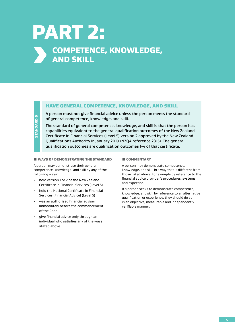# PART 2: **SOMPETENCE, KNOWLEDGE,** AND SKILL

# HAVE GENERAL COMPETENCE, KNOWLEDGE, AND SKILL

A person must not give financial advice unless the person meets the standard of general competence, knowledge, and skill.

The standard of general competence, knowledge, and skill is that the person has capabilities equivalent to the general qualification outcomes of the New Zealand Certificate in Financial Services (Level 5) version 2 approved by the New Zealand Qualifications Authority in January 2019 (NZQA reference 2315). The general qualification outcomes are qualification outcomes 1-4 of that certificate.

## **U WAYS OF DEMONSTRATING THE STANDARD**

A person may demonstrate their general competence, knowledge, and skill by any of the following ways:

- › hold version 1 or 2 of the New Zealand Certificate in Financial Services (Level 5)
- › hold the National Certificate in Financial Services (Financial Advice) (Level 5)
- › was an authorised financial adviser immediately before the commencement of the Code
- › give financial advice only through an individual who satisfies any of the ways stated above.

#### **E COMMENTARY**

A person may demonstrate competence, knowledge, and skill in a way that is different from those listed above, for example by reference to the financial advice provider's procedures, systems and expertise.

If a person seeks to demonstrate competence, knowledge, and skill by reference to an alternative qualification or experience, they should do so in an objective, measurable and independently verifiable manner.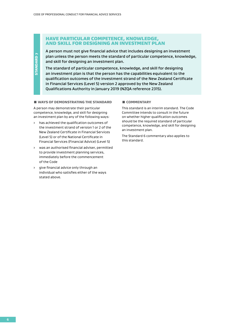# HAVE PARTICULAR COMPETENCE, KNOWLEDGE, AND SKILL FOR DESIGNING AN INVESTMENT PLAN

A person must not give financial advice that includes designing an investment plan unless the person meets the standard of particular competence, knowledge, and skill for designing an investment plan.

The standard of particular competence, knowledge, and skill for designing an investment plan is that the person has the capabilities equivalent to the qualification outcomes of the investment strand of the New Zealand Certificate in Financial Services (Level 5) version 2 approved by the New Zealand Qualifications Authority in January 2019 (NZQA reference 2315).

#### **U WAYS OF DEMONSTRATING THE STANDARD**

STANDARD 7

**STANDARD7** 

A person may demonstrate their particular competence, knowledge, and skill for designing an investment plan by any of the following ways:

- › has achieved the qualification outcomes of the investment strand of version 1 or 2 of the New Zealand Certificate in Financial Services (Level 5) or of the National Certificate in Financial Services (Financial Advice) (Level 5)
- › was an authorised financial adviser, permitted to provide investment planning services, immediately before the commencement of the Code
- › give financial advice only through an individual who satisfies either of the ways stated above.

#### ƨ COMMENTARY

This standard is an interim standard. The Code Committee intends to consult in the future on whether higher qualification outcomes should be the required standard of particular competence, knowledge, and skill for designing an investment plan.

The Standard 6 commentary also applies to this standard.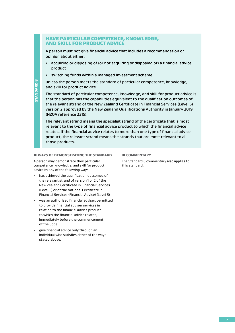# HAVE PARTICULAR COMPETENCE, KNOWLEDGE, AND SKILL FOR PRODUCT ADVICE

A person must not give financial advice that includes a recommendation or opinion about either:

- › acquiring or disposing of (or not acquiring or disposing of) a financial advice product
- › switching funds within a managed investment scheme

unless the person meets the standard of particular competence, knowledge, and skill for product advice.

The standard of particular competence, knowledge, and skill for product advice is that the person has the capabilities equivalent to the qualification outcomes of the relevant strand of the New Zealand Certificate in Financial Services (Level 5) version 2 approved by the New Zealand Qualifications Authority in January 2019 (NZQA reference 2315).

The relevant strand means the specialist strand of the certificate that is most relevant to the type of financial advice product to which the financial advice relates. If the financial advice relates to more than one type of financial advice product, the relevant strand means the strands that are most relevant to all those products.

### **UNAVS OF DEMONSTRATING THE STANDARD**

A person may demonstrate their particular competence, knowledge, and skill for product advice by any of the following ways:

- › has achieved the qualification outcomes of the relevant strand of version 1 or 2 of the New Zealand Certificate in Financial Services (Level 5) or of the National Certificate in Financial Services (Financial Advice) (Level 5)
- › was an authorised financial adviser, permitted to provide financial adviser services in relation to the financial advice product to which the financial advice relates, immediately before the commencement of the Code
- › give financial advice only through an individual who satisfies either of the ways stated above.

#### ƨ COMMENTARY

The Standard 6 commentary also applies to this standard.